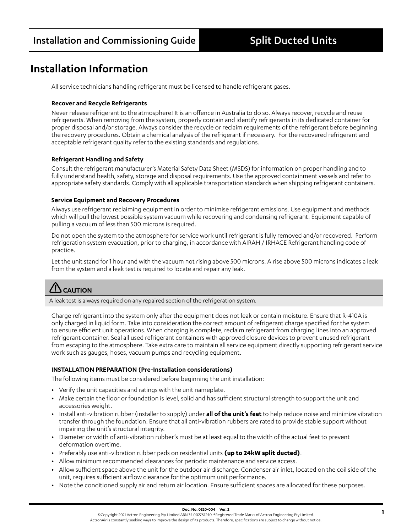# **Installation Information**

All service technicians handling refrigerant must be licensed to handle refrigerant gases.

#### **Recover and Recycle Refrigerants**

Never release refrigerant to the atmosphere! It is an offence in Australia to do so. Always recover, recycle and reuse refrigerants. When removing from the system, properly contain and identify refrigerants in its dedicated container for proper disposal and/or storage. Always consider the recycle or reclaim requirements of the refrigerant before beginning the recovery procedures. Obtain a chemical analysis of the refrigerant if necessary. For the recovered refrigerant and acceptable refrigerant quality refer to the existing standards and regulations.

#### **Refrigerant Handling and Safety**

Consult the refrigerant manufacturer's Material Safety Data Sheet (MSDS) for information on proper handling and to fully understand health, safety, storage and disposal requirements. Use the approved containment vessels and refer to appropriate safety standards. Comply with all applicable transportation standards when shipping refrigerant containers.

#### **Service Equipment and Recovery Procedures**

Always use refrigerant reclaiming equipment in order to minimise refrigerant emissions. Use equipment and methods which will pull the lowest possible system vacuum while recovering and condensing refrigerant. Equipment capable of pulling a vacuum of less than 500 microns is required.

Do not open the system to the atmosphere for service work until refrigerant is fully removed and/or recovered. Perform refrigeration system evacuation, prior to charging, in accordance with AIRAH / IRHACE Refrigerant handling code of practice.

Let the unit stand for 1 hour and with the vacuum not rising above 500 microns. A rise above 500 microns indicates a leak from the system and a leak test is required to locate and repair any leak.

# **CAUTION**

A leak test is always required on any repaired section of the refrigeration system.

Charge refrigerant into the system only after the equipment does not leak or contain moisture. Ensure that R-410A is only charged in liquid form. Take into consideration the correct amount of refrigerant charge specified for the system to ensure efficient unit operations. When charging is complete, reclaim refrigerant from charging lines into an approved refrigerant container. Seal all used refrigerant containers with approved closure devices to prevent unused refrigerant from escaping to the atmosphere. Take extra care to maintain all service equipment directly supporting refrigerant service work such as gauges, hoses, vacuum pumps and recycling equipment.

#### **INSTALLATION PREPARATION (Pre-Installation considerations)**

The following items must be considered before beginning the unit installation:

- **•** Verify the unit capacities and ratings with the unit nameplate.
- **•** Make certain the floor or foundation is level, solid and has sufficient structural strength to support the unit and accessories weight.
- **•** Install anti-vibration rubber (installer to supply) under **all of the unit's feet** to help reduce noise and minimize vibration transfer through the foundation. Ensure that all anti-vibration rubbers are rated to provide stable support without impairing the unit's structural integrity.
- **•** Diameter or width of anti-vibration rubber's must be at least equal to the width of the actual feet to prevent deformation overtime.
- **•** Preferably use anti-vibration rubber pads on residential units **(up to 24kW split ducted)**.
- **•** Allow minimum recommended clearances for periodic maintenance and service access.
- **•** Allow sufficient space above the unit for the outdoor air discharge. Condenser air inlet, located on the coil side of the unit, requires sufficient airflow clearance for the optimum unit performance.
- **•** Note the conditioned supply air and return air location. Ensure sufficient spaces are allocated for these purposes.

**Doc. No. 0520-004 Ver. 2**<br>©Copyright 2021 Actron Engineering Pty Limited ABN 34 002767240. ®Registered Trade Marks of Actron Engineering Pty Limited. ActronAir is constantly seeking ways to improve the design of its products. Therefore, specifications are subject to change without notice.